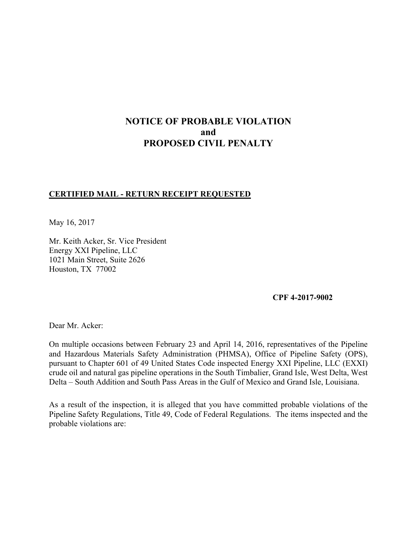# **NOTICE OF PROBABLE VIOLATION and PROPOSED CIVIL PENALTY**

## **CERTIFIED MAIL - RETURN RECEIPT REQUESTED**

May 16, 2017

Mr. Keith Acker, Sr. Vice President Energy XXI Pipeline, LLC 1021 Main Street, Suite 2626 Houston, TX 77002

#### **CPF 4-2017-9002**

Dear Mr. Acker:

On multiple occasions between February 23 and April 14, 2016, representatives of the Pipeline and Hazardous Materials Safety Administration (PHMSA), Office of Pipeline Safety (OPS), pursuant to Chapter 601 of 49 United States Code inspected Energy XXI Pipeline, LLC (EXXI) crude oil and natural gas pipeline operations in the South Timbalier, Grand Isle, West Delta, West Delta – South Addition and South Pass Areas in the Gulf of Mexico and Grand Isle, Louisiana.

As a result of the inspection, it is alleged that you have committed probable violations of the Pipeline Safety Regulations, Title 49, Code of Federal Regulations. The items inspected and the probable violations are: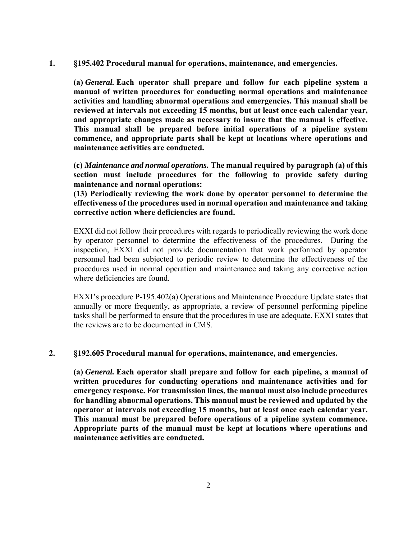**1. §195.402 Procedural manual for operations, maintenance, and emergencies.** 

 **(a)** *General.* **Each operator shall prepare and follow for each pipeline system a manual of written procedures for conducting normal operations and maintenance activities and handling abnormal operations and emergencies. This manual shall be reviewed at intervals not exceeding 15 months, but at least once each calendar year, and appropriate changes made as necessary to insure that the manual is effective. This manual shall be prepared before initial operations of a pipeline system commence, and appropriate parts shall be kept at locations where operations and maintenance activities are conducted.** 

**(c)** *Maintenance and normal operations.* **The manual required by paragraph (a) of this section must include procedures for the following to provide safety during maintenance and normal operations:**

**(13) Periodically reviewing the work done by operator personnel to determine the effectiveness of the procedures used in normal operation and maintenance and taking corrective action where deficiencies are found.** 

EXXI did not follow their procedures with regards to periodically reviewing the work done by operator personnel to determine the effectiveness of the procedures. During the inspection, EXXI did not provide documentation that work performed by operator personnel had been subjected to periodic review to determine the effectiveness of the procedures used in normal operation and maintenance and taking any corrective action where deficiencies are found.

EXXI's procedure P-195.402(a) Operations and Maintenance Procedure Update states that annually or more frequently, as appropriate, a review of personnel performing pipeline tasks shall be performed to ensure that the procedures in use are adequate. EXXI states that the reviews are to be documented in CMS.

#### **2. §192.605 Procedural manual for operations, maintenance, and emergencies.**

**(a)** *General.* **Each operator shall prepare and follow for each pipeline, a manual of written procedures for conducting operations and maintenance activities and for emergency response. For transmission lines, the manual must also include procedures for handling abnormal operations. This manual must be reviewed and updated by the operator at intervals not exceeding 15 months, but at least once each calendar year. This manual must be prepared before operations of a pipeline system commence. Appropriate parts of the manual must be kept at locations where operations and maintenance activities are conducted.**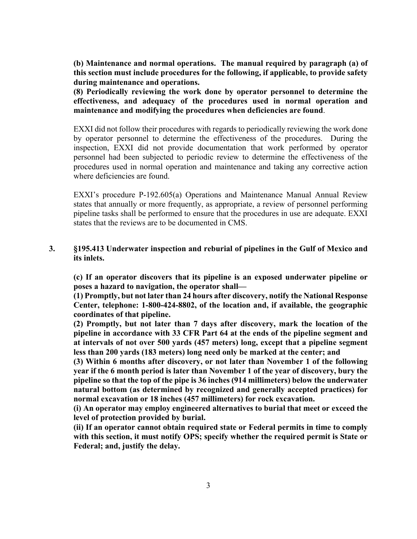**(b) Maintenance and normal operations. The manual required by paragraph (a) of this section must include procedures for the following, if applicable, to provide safety during maintenance and operations.** 

**(8) Periodically reviewing the work done by operator personnel to determine the effectiveness, and adequacy of the procedures used in normal operation and maintenance and modifying the procedures when deficiencies are found**.

EXXI did not follow their procedures with regards to periodically reviewing the work done by operator personnel to determine the effectiveness of the procedures. During the inspection, EXXI did not provide documentation that work performed by operator personnel had been subjected to periodic review to determine the effectiveness of the procedures used in normal operation and maintenance and taking any corrective action where deficiencies are found.

EXXI's procedure P-192.605(a) Operations and Maintenance Manual Annual Review states that annually or more frequently, as appropriate, a review of personnel performing pipeline tasks shall be performed to ensure that the procedures in use are adequate. EXXI states that the reviews are to be documented in CMS.

## **3. §195.413 Underwater inspection and reburial of pipelines in the Gulf of Mexico and its inlets.**

 **(c) If an operator discovers that its pipeline is an exposed underwater pipeline or poses a hazard to navigation, the operator shall—** 

 **(1) Promptly, but not later than 24 hours after discovery, notify the National Response Center, telephone: 1-800-424-8802, of the location and, if available, the geographic coordinates of that pipeline.** 

 **(2) Promptly, but not later than 7 days after discovery, mark the location of the pipeline in accordance with 33 CFR Part 64 at the ends of the pipeline segment and at intervals of not over 500 yards (457 meters) long, except that a pipeline segment less than 200 yards (183 meters) long need only be marked at the center; and** 

 **(3) Within 6 months after discovery, or not later than November 1 of the following year if the 6 month period is later than November 1 of the year of discovery, bury the pipeline so that the top of the pipe is 36 inches (914 millimeters) below the underwater natural bottom (as determined by recognized and generally accepted practices) for normal excavation or 18 inches (457 millimeters) for rock excavation.** 

 **(i) An operator may employ engineered alternatives to burial that meet or exceed the level of protection provided by burial.** 

 **(ii) If an operator cannot obtain required state or Federal permits in time to comply with this section, it must notify OPS; specify whether the required permit is State or Federal; and, justify the delay.**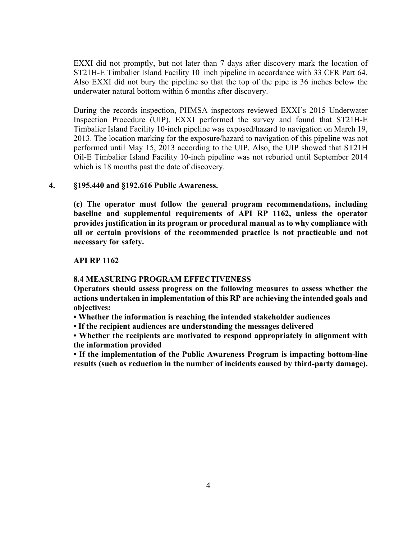EXXI did not promptly, but not later than 7 days after discovery mark the location of ST21H-E Timbalier Island Facility 10–inch pipeline in accordance with 33 CFR Part 64. Also EXXI did not bury the pipeline so that the top of the pipe is 36 inches below the underwater natural bottom within 6 months after discovery.

During the records inspection, PHMSA inspectors reviewed EXXI's 2015 Underwater Inspection Procedure (UIP). EXXI performed the survey and found that ST21H-E Timbalier Island Facility 10-inch pipeline was exposed/hazard to navigation on March 19, 2013. The location marking for the exposure/hazard to navigation of this pipeline was not performed until May 15, 2013 according to the UIP. Also, the UIP showed that ST21H Oil-E Timbalier Island Facility 10-inch pipeline was not reburied until September 2014 which is 18 months past the date of discovery.

## **4. §195.440 and §192.616 Public Awareness.**

**(c) The operator must follow the general program recommendations, including baseline and supplemental requirements of API RP 1162, unless the operator provides justification in its program or procedural manual as to why compliance with all or certain provisions of the recommended practice is not practicable and not necessary for safety.** 

## **API RP 1162**

#### **8.4 MEASURING PROGRAM EFFECTIVENESS**

**Operators should assess progress on the following measures to assess whether the actions undertaken in implementation of this RP are achieving the intended goals and objectives:** 

- **Whether the information is reaching the intended stakeholder audiences**
- **If the recipient audiences are understanding the messages delivered**

**• Whether the recipients are motivated to respond appropriately in alignment with the information provided** 

**• If the implementation of the Public Awareness Program is impacting bottom-line results (such as reduction in the number of incidents caused by third-party damage).**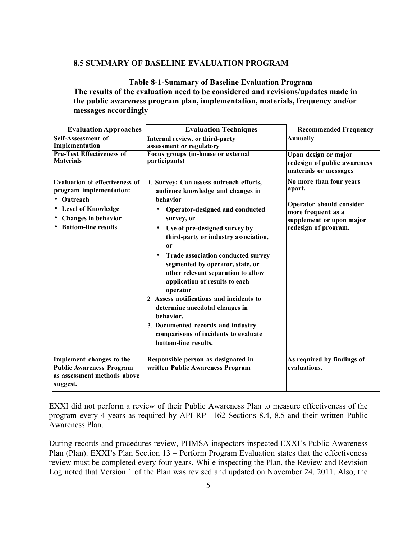#### **8.5 SUMMARY OF BASELINE EVALUATION PROGRAM**

**Table 8-1-Summary of Baseline Evaluation Program The results of the evaluation need to be considered and revisions/updates made in the public awareness program plan, implementation, materials, frequency and/or messages accordingly** 

| <b>Evaluation Approaches</b>                                                                                                                             | <b>Evaluation Techniques</b>                                                                                                                                                                                                                                                                                                                                                                                                                                                                                                                                                                            | <b>Recommended Frequency</b>                                                                                                            |
|----------------------------------------------------------------------------------------------------------------------------------------------------------|---------------------------------------------------------------------------------------------------------------------------------------------------------------------------------------------------------------------------------------------------------------------------------------------------------------------------------------------------------------------------------------------------------------------------------------------------------------------------------------------------------------------------------------------------------------------------------------------------------|-----------------------------------------------------------------------------------------------------------------------------------------|
| Self-Assessment of<br>Implementation                                                                                                                     | Internal review, or third-party<br>assessment or regulatory                                                                                                                                                                                                                                                                                                                                                                                                                                                                                                                                             | <b>Annually</b>                                                                                                                         |
| <b>Pre-Test Effectiveness of</b><br><b>Materials</b>                                                                                                     | <b>Focus groups (in-house or external</b><br>participants)                                                                                                                                                                                                                                                                                                                                                                                                                                                                                                                                              | Upon design or major<br>redesign of public awareness<br>materials or messages                                                           |
| <b>Evaluation of effectiveness of</b><br>program implementation:<br>• Outreach<br>• Level of Knowledge<br>• Changes in behavior<br>• Bottom-line results | 1. Survey: Can assess outreach efforts,<br>audience knowledge and changes in<br>behavior<br>Operator-designed and conducted<br>٠<br>survey, or<br>Use of pre-designed survey by<br>third-party or industry association,<br><sub>or</sub><br>Trade association conducted survey<br>segmented by operator, state, or<br>other relevant separation to allow<br>application of results to each<br>operator<br>2. Assess notifications and incidents to<br>determine anecdotal changes in<br>behavior.<br>3. Documented records and industry<br>comparisons of incidents to evaluate<br>bottom-line results. | No more than four years<br>apart.<br>Operator should consider<br>more frequent as a<br>supplement or upon major<br>redesign of program. |
| Implement changes to the<br><b>Public Awareness Program</b><br>as assessment methods above<br>suggest.                                                   | Responsible person as designated in<br>written Public Awareness Program                                                                                                                                                                                                                                                                                                                                                                                                                                                                                                                                 | As required by findings of<br>evaluations.                                                                                              |

EXXI did not perform a review of their Public Awareness Plan to measure effectiveness of the program every 4 years as required by API RP 1162 Sections 8.4, 8.5 and their written Public Awareness Plan.

During records and procedures review, PHMSA inspectors inspected EXXI's Public Awareness Plan (Plan). EXXI's Plan Section 13 – Perform Program Evaluation states that the effectiveness review must be completed every four years. While inspecting the Plan, the Review and Revision Log noted that Version 1 of the Plan was revised and updated on November 24, 2011. Also, the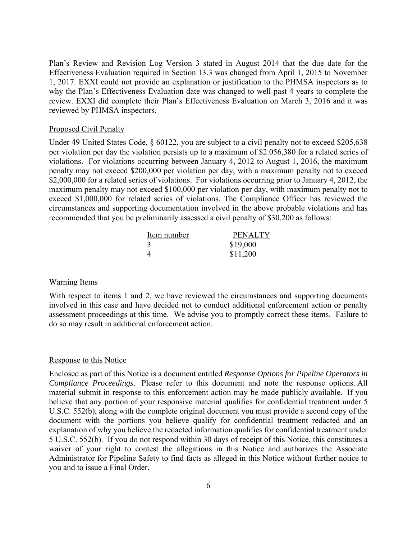Plan's Review and Revision Log Version 3 stated in August 2014 that the due date for the Effectiveness Evaluation required in Section 13.3 was changed from April 1, 2015 to November 1, 2017. EXXI could not provide an explanation or justification to the PHMSA inspectors as to why the Plan's Effectiveness Evaluation date was changed to well past 4 years to complete the review. EXXI did complete their Plan's Effectiveness Evaluation on March 3, 2016 and it was reviewed by PHMSA inspectors.

#### Proposed Civil Penalty

Under 49 United States Code, § 60122, you are subject to a civil penalty not to exceed \$205,638 per violation per day the violation persists up to a maximum of \$2.056,380 for a related series of violations. For violations occurring between January 4, 2012 to August 1, 2016, the maximum penalty may not exceed \$200,000 per violation per day, with a maximum penalty not to exceed \$2,000,000 for a related series of violations. For violations occurring prior to January 4, 2012, the maximum penalty may not exceed \$100,000 per violation per day, with maximum penalty not to exceed \$1,000,000 for related series of violations. The Compliance Officer has reviewed the circumstances and supporting documentation involved in the above probable violations and has recommended that you be preliminarily assessed a civil penalty of \$30,200 as follows:

| Item number | <b>PENALTY</b> |
|-------------|----------------|
|             | \$19,000       |
|             | \$11,200       |

#### Warning Items

With respect to items 1 and 2, we have reviewed the circumstances and supporting documents involved in this case and have decided not to conduct additional enforcement action or penalty assessment proceedings at this time. We advise you to promptly correct these items. Failure to do so may result in additional enforcement action.

## Response to this Notice

Enclosed as part of this Notice is a document entitled *Response Options for Pipeline Operators in Compliance Proceedings*. Please refer to this document and note the response options. All material submit in response to this enforcement action may be made publicly available. If you believe that any portion of your responsive material qualifies for confidential treatment under 5 U.S.C. 552(b), along with the complete original document you must provide a second copy of the document with the portions you believe qualify for confidential treatment redacted and an explanation of why you believe the redacted information qualifies for confidential treatment under 5 U.S.C. 552(b). If you do not respond within 30 days of receipt of this Notice, this constitutes a waiver of your right to contest the allegations in this Notice and authorizes the Associate Administrator for Pipeline Safety to find facts as alleged in this Notice without further notice to you and to issue a Final Order.